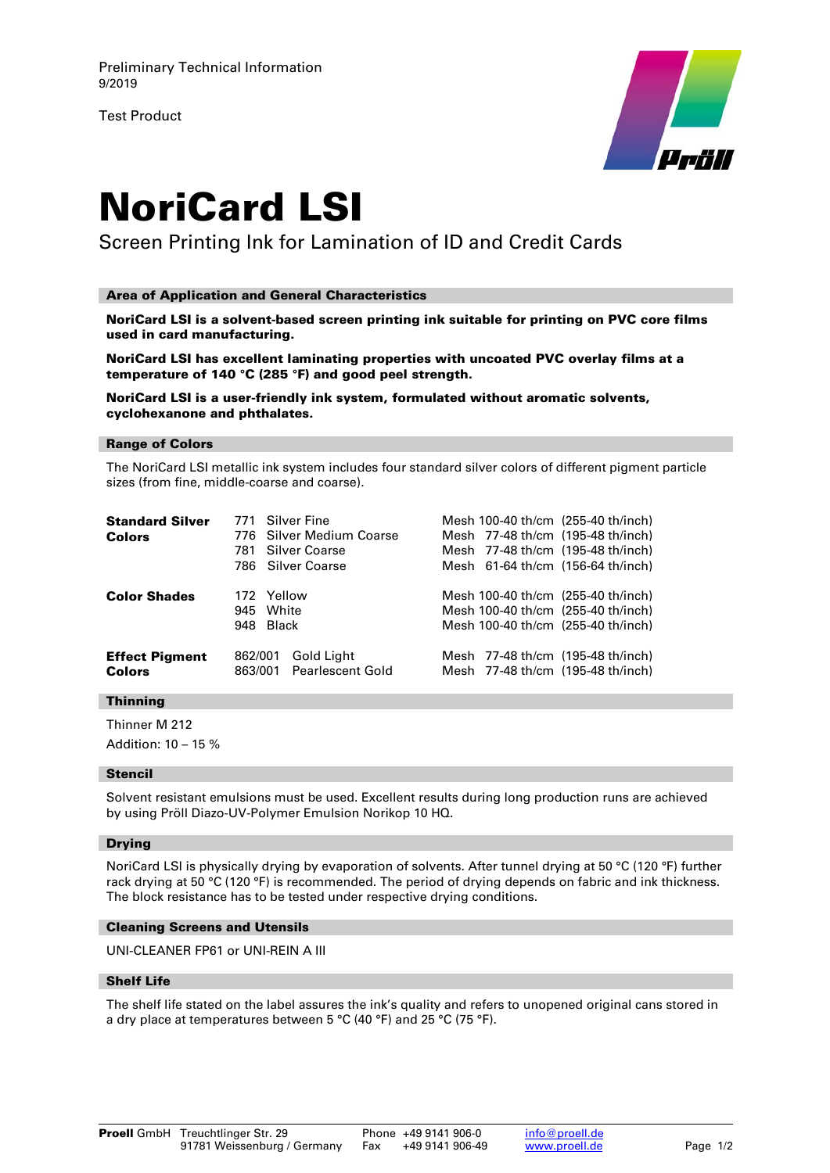Test Product



# NoriCard LSI

Screen Printing Ink for Lamination of ID and Credit Cards

### Area of Application and General Characteristics

NoriCard LSI is a solvent-based screen printing ink suitable for printing on PVC core films used in card manufacturing.

NoriCard LSI has excellent laminating properties with uncoated PVC overlay films at a temperature of 140 °C (285 °F) and good peel strength.

NoriCard LSI is a user-friendly ink system, formulated without aromatic solvents, cyclohexanone and phthalates.

#### Range of Colors

The NoriCard LSI metallic ink system includes four standard silver colors of different pigment particle sizes (from fine, middle-coarse and coarse).

| <b>Standard Silver</b><br><b>Colors</b> | 781                            | 771 Silver Fine<br>776 Silver Medium Coarse<br>Silver Coarse<br>786 Silver Coarse |  | Mesh 100-40 th/cm (255-40 th/inch)<br>Mesh 77-48 th/cm (195-48 th/inch)<br>Mesh 77-48 th/cm (195-48 th/inch)<br>Mesh 61-64 th/cm (156-64 th/inch) |
|-----------------------------------------|--------------------------------|-----------------------------------------------------------------------------------|--|---------------------------------------------------------------------------------------------------------------------------------------------------|
| <b>Color Shades</b>                     | 172 Yellow<br>945<br>948 Black | White                                                                             |  | Mesh 100-40 th/cm (255-40 th/inch)<br>Mesh 100-40 th/cm (255-40 th/inch)<br>Mesh 100-40 th/cm (255-40 th/inch)                                    |
| <b>Effect Pigment</b><br><b>Colors</b>  | 862/001<br>863/001             | Gold Light<br><b>Pearlescent Gold</b>                                             |  | Mesh 77-48 th/cm (195-48 th/inch)<br>Mesh 77-48 th/cm (195-48 th/inch)                                                                            |

## **Thinning**

Thinner M 212 Addition: 10 – 15 %

#### Stencil

Solvent resistant emulsions must be used. Excellent results during long production runs are achieved by using Pröll Diazo-UV-Polymer Emulsion Norikop 10 HQ.

#### Drying

NoriCard LSI is physically drying by evaporation of solvents. After tunnel drying at 50 °C (120 °F) further rack drying at 50 °C (120 °F) is recommended. The period of drying depends on fabric and ink thickness. The block resistance has to be tested under respective drying conditions.

#### Cleaning Screens and Utensils

UNI-CLEANER FP61 or UNI-REIN A III

## Shelf Life

The shelf life stated on the label assures the ink's quality and refers to unopened original cans stored in a dry place at temperatures between 5 °C (40 °F) and 25 °C (75 °F).